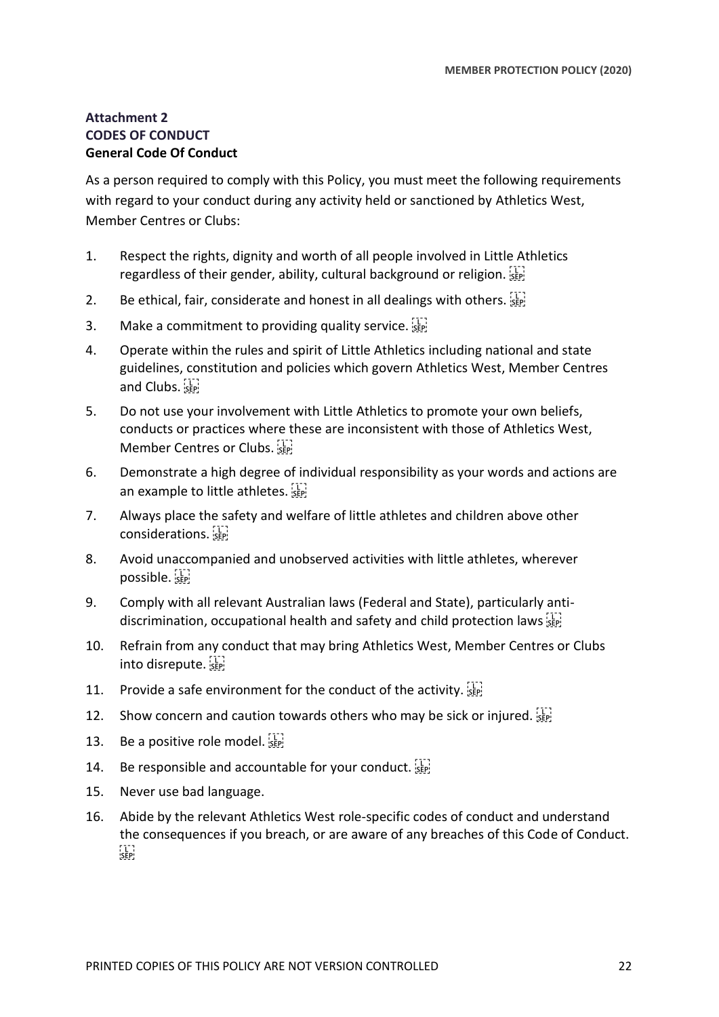# **Attachment 2 CODES OF CONDUCT General Code Of Conduct**

As a person required to comply with this Policy, you must meet the following requirements with regard to your conduct during any activity held or sanctioned by Athletics West, Member Centres or Clubs:

- 1. Respect the rights, dignity and worth of all people involved in Little Athletics regardless of their gender, ability, cultural background or religion.  $\frac{1}{15}$
- 2. Be ethical, fair, considerate and honest in all dealings with others.  $\frac{177}{356}$
- 3. Make a commitment to providing quality service.  $\frac{1}{15}$
- 4. Operate within the rules and spirit of Little Athletics including national and state guidelines, constitution and policies which govern Athletics West, Member Centres and Clubs.
- 5. Do not use your involvement with Little Athletics to promote your own beliefs, conducts or practices where these are inconsistent with those of Athletics West, Member Centres or Clubs.
- 6. Demonstrate a high degree of individual responsibility as your words and actions are an example to little athletes.
- 7. Always place the safety and welfare of little athletes and children above other considerations.
- 8. Avoid unaccompanied and unobserved activities with little athletes, wherever possible.
- 9. Comply with all relevant Australian laws (Federal and State), particularly antidiscrimination, occupational health and safety and child protection laws
- 10. Refrain from any conduct that may bring Athletics West, Member Centres or Clubs into disrepute.
- 11. Provide a safe environment for the conduct of the activity.  $\frac{1}{15}$
- 12. Show concern and caution towards others who may be sick or injured. SEP!
- 13. Be a positive role model.  $\frac{1}{15}$
- 14. Be responsible and accountable for your conduct. [17]
- 15. Never use bad language.
- 16. Abide by the relevant Athletics West role-specific codes of conduct and understand the consequences if you breach, or are aware of any breaches of this Code of Conduct. FTER!<br>!SEP!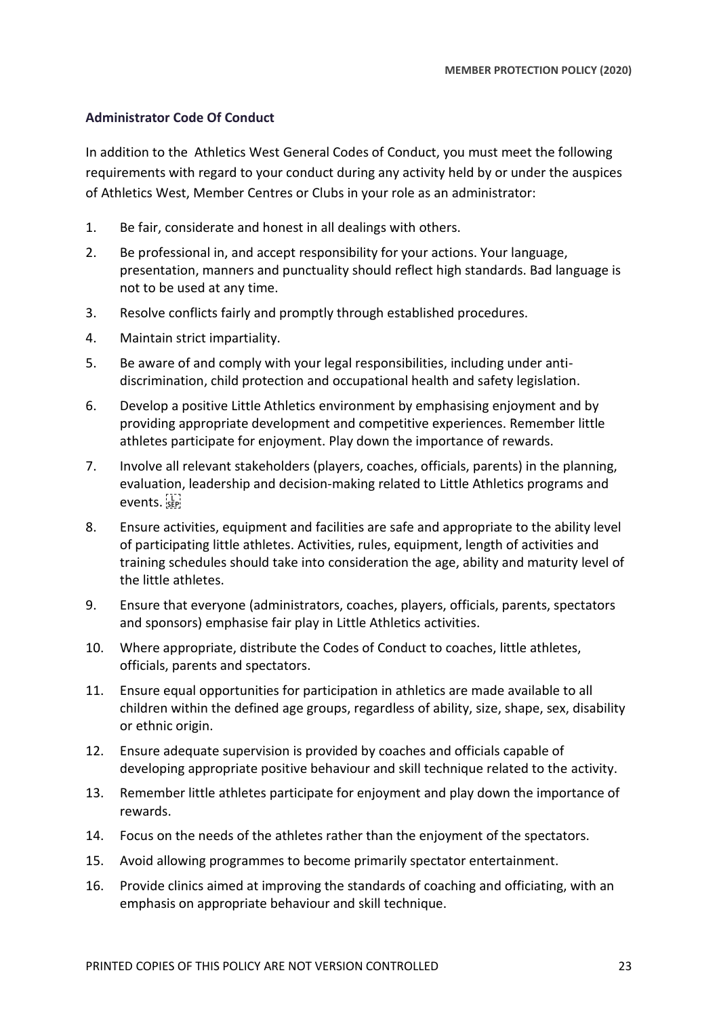## **Administrator Code Of Conduct**

In addition to the Athletics West General Codes of Conduct, you must meet the following requirements with regard to your conduct during any activity held by or under the auspices of Athletics West, Member Centres or Clubs in your role as an administrator:

- 1. Be fair, considerate and honest in all dealings with others.
- 2. Be professional in, and accept responsibility for your actions. Your language, presentation, manners and punctuality should reflect high standards. Bad language is not to be used at any time.
- 3. Resolve conflicts fairly and promptly through established procedures.
- 4. Maintain strict impartiality.
- 5. Be aware of and comply with your legal responsibilities, including under antidiscrimination, child protection and occupational health and safety legislation.
- 6. Develop a positive Little Athletics environment by emphasising enjoyment and by providing appropriate development and competitive experiences. Remember little athletes participate for enjoyment. Play down the importance of rewards.
- 7. Involve all relevant stakeholders (players, coaches, officials, parents) in the planning, evaluation, leadership and decision-making related to Little Athletics programs and events.
- 8. Ensure activities, equipment and facilities are safe and appropriate to the ability level of participating little athletes. Activities, rules, equipment, length of activities and training schedules should take into consideration the age, ability and maturity level of the little athletes.
- 9. Ensure that everyone (administrators, coaches, players, officials, parents, spectators and sponsors) emphasise fair play in Little Athletics activities.
- 10. Where appropriate, distribute the Codes of Conduct to coaches, little athletes, officials, parents and spectators.
- 11. Ensure equal opportunities for participation in athletics are made available to all children within the defined age groups, regardless of ability, size, shape, sex, disability or ethnic origin.
- 12. Ensure adequate supervision is provided by coaches and officials capable of developing appropriate positive behaviour and skill technique related to the activity.
- 13. Remember little athletes participate for enjoyment and play down the importance of rewards.
- 14. Focus on the needs of the athletes rather than the enjoyment of the spectators.
- 15. Avoid allowing programmes to become primarily spectator entertainment.
- 16. Provide clinics aimed at improving the standards of coaching and officiating, with an emphasis on appropriate behaviour and skill technique.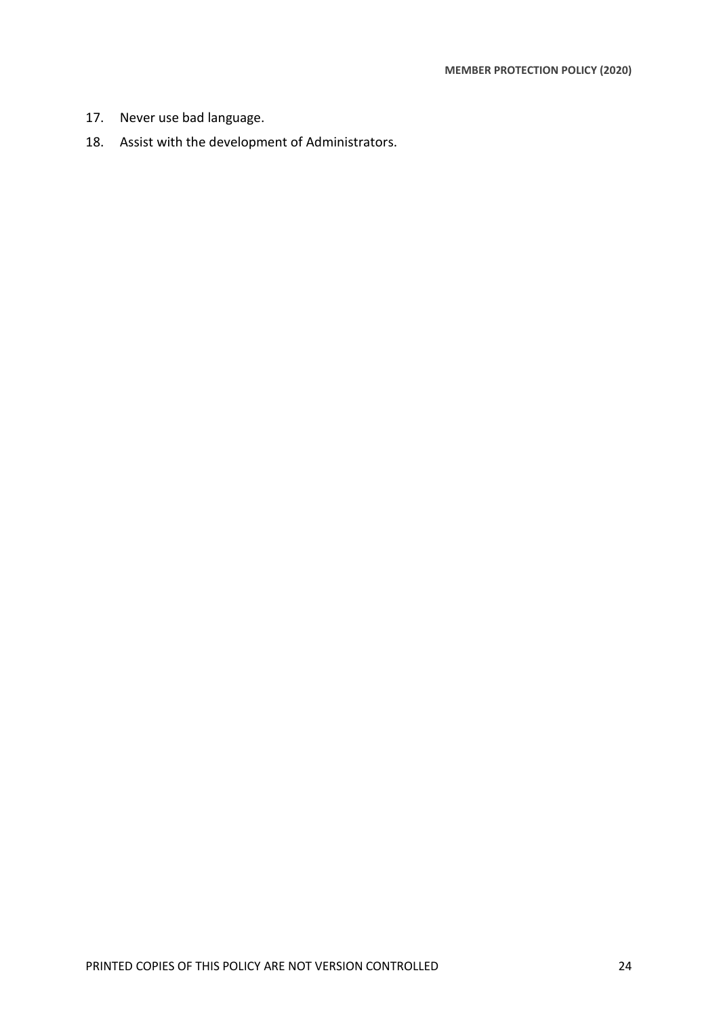- 17. Never use bad language.
- 18. Assist with the development of Administrators.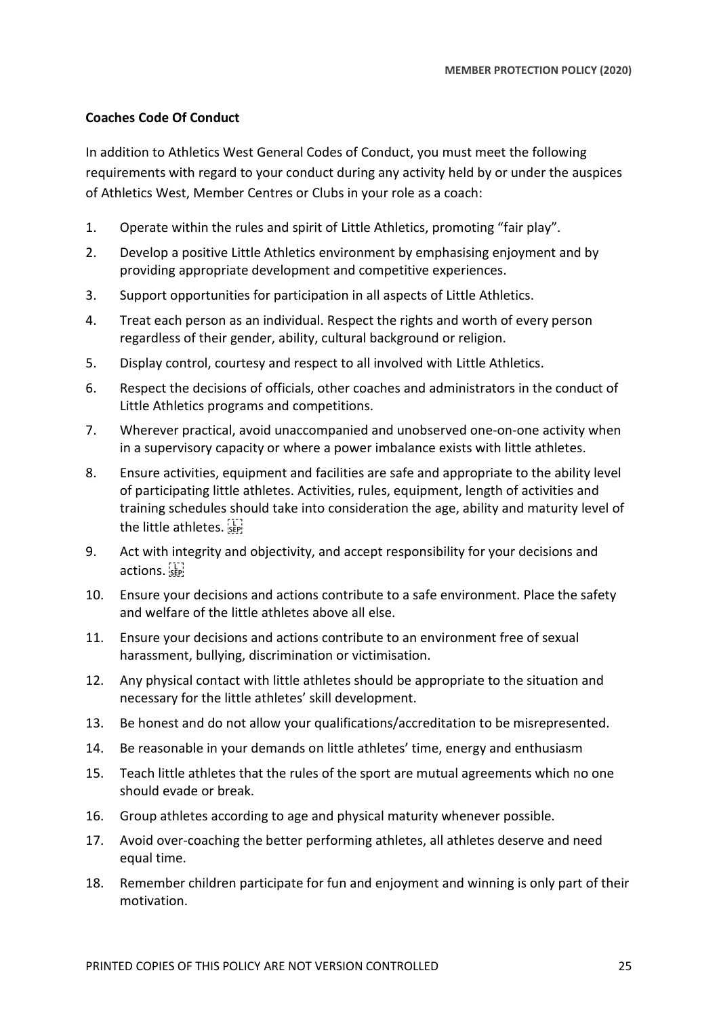## **Coaches Code Of Conduct**

In addition to Athletics West General Codes of Conduct, you must meet the following requirements with regard to your conduct during any activity held by or under the auspices of Athletics West, Member Centres or Clubs in your role as a coach:

- 1. Operate within the rules and spirit of Little Athletics, promoting "fair play".
- 2. Develop a positive Little Athletics environment by emphasising enjoyment and by providing appropriate development and competitive experiences.
- 3. Support opportunities for participation in all aspects of Little Athletics.
- 4. Treat each person as an individual. Respect the rights and worth of every person regardless of their gender, ability, cultural background or religion.
- 5. Display control, courtesy and respect to all involved with Little Athletics.
- 6. Respect the decisions of officials, other coaches and administrators in the conduct of Little Athletics programs and competitions.
- 7. Wherever practical, avoid unaccompanied and unobserved one-on-one activity when in a supervisory capacity or where a power imbalance exists with little athletes.
- 8. Ensure activities, equipment and facilities are safe and appropriate to the ability level of participating little athletes. Activities, rules, equipment, length of activities and training schedules should take into consideration the age, ability and maturity level of the little athletes.
- 9. Act with integrity and objectivity, and accept responsibility for your decisions and actions.
- 10. Ensure your decisions and actions contribute to a safe environment. Place the safety and welfare of the little athletes above all else.
- 11. Ensure your decisions and actions contribute to an environment free of sexual harassment, bullying, discrimination or victimisation.
- 12. Any physical contact with little athletes should be appropriate to the situation and necessary for the little athletes' skill development.
- 13. Be honest and do not allow your qualifications/accreditation to be misrepresented.
- 14. Be reasonable in your demands on little athletes' time, energy and enthusiasm
- 15. Teach little athletes that the rules of the sport are mutual agreements which no one should evade or break.
- 16. Group athletes according to age and physical maturity whenever possible.
- 17. Avoid over-coaching the better performing athletes, all athletes deserve and need equal time.
- 18. Remember children participate for fun and enjoyment and winning is only part of their motivation.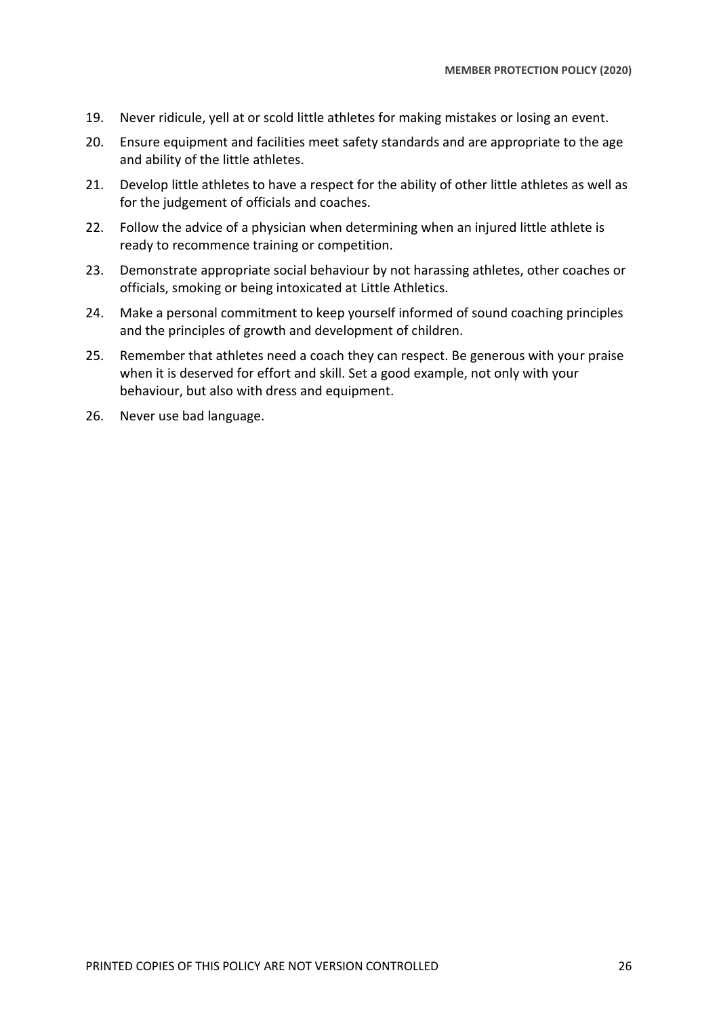- 19. Never ridicule, yell at or scold little athletes for making mistakes or losing an event.
- 20. Ensure equipment and facilities meet safety standards and are appropriate to the age and ability of the little athletes.
- 21. Develop little athletes to have a respect for the ability of other little athletes as well as for the judgement of officials and coaches.
- 22. Follow the advice of a physician when determining when an injured little athlete is ready to recommence training or competition.
- 23. Demonstrate appropriate social behaviour by not harassing athletes, other coaches or officials, smoking or being intoxicated at Little Athletics.
- 24. Make a personal commitment to keep yourself informed of sound coaching principles and the principles of growth and development of children.
- 25. Remember that athletes need a coach they can respect. Be generous with your praise when it is deserved for effort and skill. Set a good example, not only with your behaviour, but also with dress and equipment.
- 26. Never use bad language.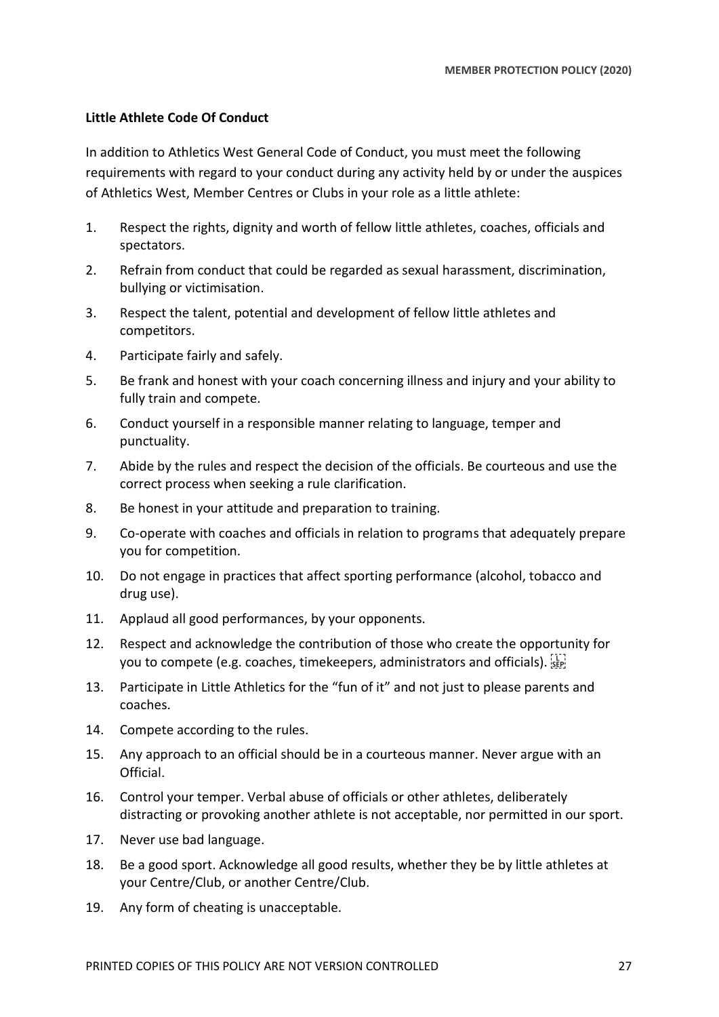#### **Little Athlete Code Of Conduct**

In addition to Athletics West General Code of Conduct, you must meet the following requirements with regard to your conduct during any activity held by or under the auspices of Athletics West, Member Centres or Clubs in your role as a little athlete:

- 1. Respect the rights, dignity and worth of fellow little athletes, coaches, officials and spectators.
- 2. Refrain from conduct that could be regarded as sexual harassment, discrimination, bullying or victimisation.
- 3. Respect the talent, potential and development of fellow little athletes and competitors.
- 4. Participate fairly and safely.
- 5. Be frank and honest with your coach concerning illness and injury and your ability to fully train and compete.
- 6. Conduct yourself in a responsible manner relating to language, temper and punctuality.
- 7. Abide by the rules and respect the decision of the officials. Be courteous and use the correct process when seeking a rule clarification.
- 8. Be honest in your attitude and preparation to training.
- 9. Co-operate with coaches and officials in relation to programs that adequately prepare you for competition.
- 10. Do not engage in practices that affect sporting performance (alcohol, tobacco and drug use).
- 11. Applaud all good performances, by your opponents.
- 12. Respect and acknowledge the contribution of those who create the opportunity for you to compete (e.g. coaches, timekeepers, administrators and officials). [17]
- 13. Participate in Little Athletics for the "fun of it" and not just to please parents and coaches.
- 14. Compete according to the rules.
- 15. Any approach to an official should be in a courteous manner. Never argue with an Official.
- 16. Control your temper. Verbal abuse of officials or other athletes, deliberately distracting or provoking another athlete is not acceptable, nor permitted in our sport.
- 17. Never use bad language.
- 18. Be a good sport. Acknowledge all good results, whether they be by little athletes at your Centre/Club, or another Centre/Club.
- 19. Any form of cheating is unacceptable.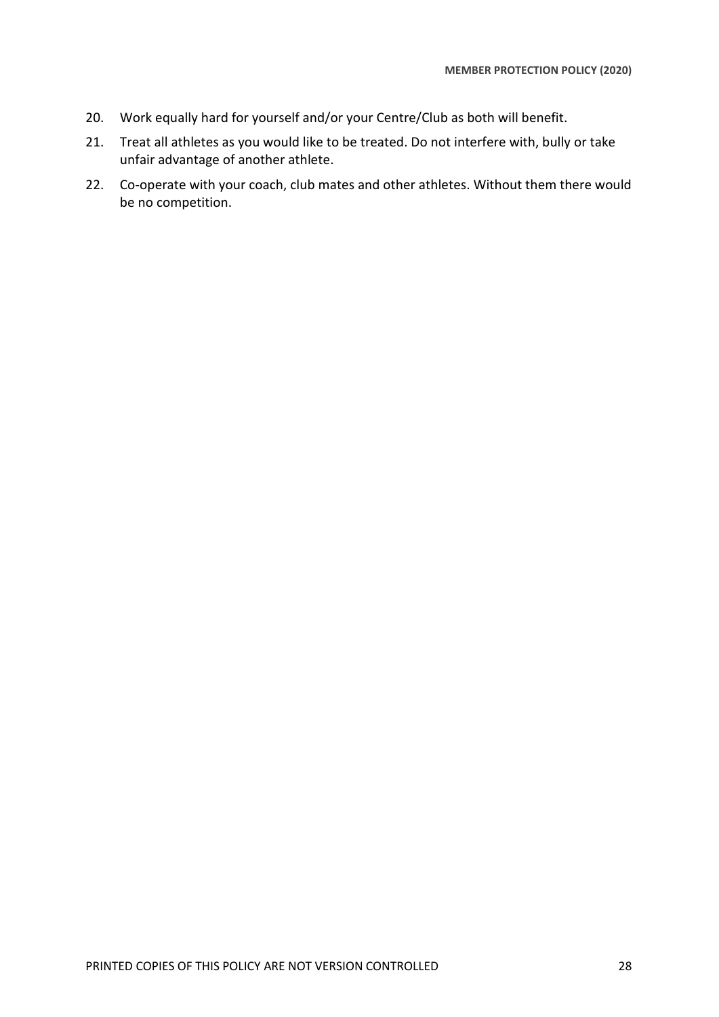- 20. Work equally hard for yourself and/or your Centre/Club as both will benefit.
- 21. Treat all athletes as you would like to be treated. Do not interfere with, bully or take unfair advantage of another athlete.
- 22. Co-operate with your coach, club mates and other athletes. Without them there would be no competition.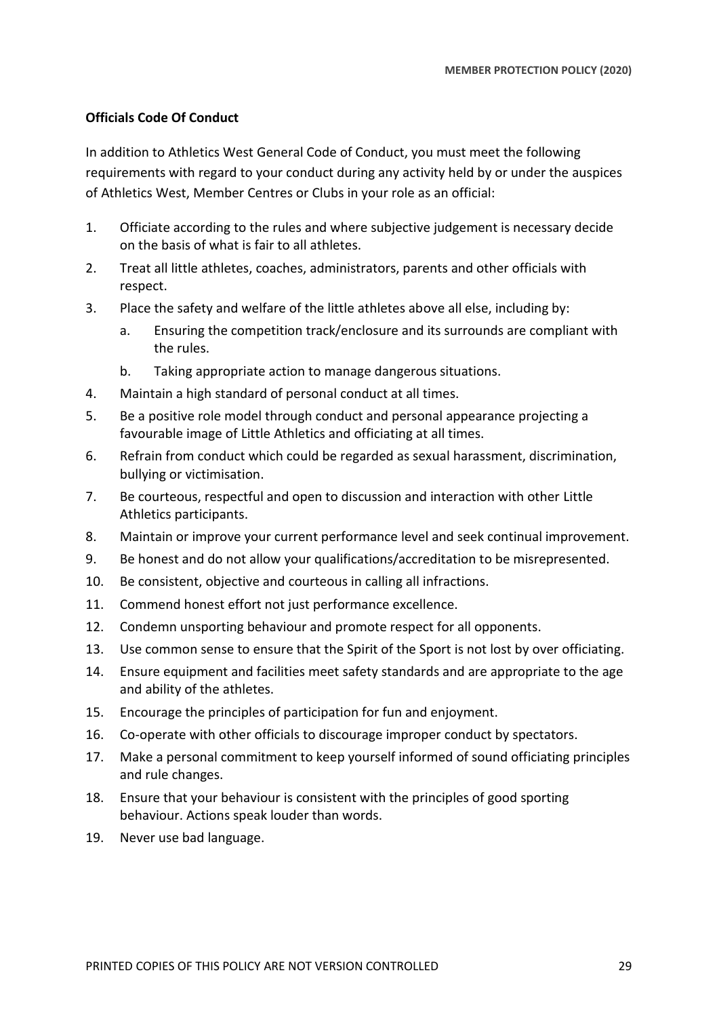## **Officials Code Of Conduct**

In addition to Athletics West General Code of Conduct, you must meet the following requirements with regard to your conduct during any activity held by or under the auspices of Athletics West, Member Centres or Clubs in your role as an official:

- 1. Officiate according to the rules and where subjective judgement is necessary decide on the basis of what is fair to all athletes.
- 2. Treat all little athletes, coaches, administrators, parents and other officials with respect.
- 3. Place the safety and welfare of the little athletes above all else, including by:
	- a. Ensuring the competition track/enclosure and its surrounds are compliant with the rules.
	- b. Taking appropriate action to manage dangerous situations.
- 4. Maintain a high standard of personal conduct at all times.
- 5. Be a positive role model through conduct and personal appearance projecting a favourable image of Little Athletics and officiating at all times.
- 6. Refrain from conduct which could be regarded as sexual harassment, discrimination, bullying or victimisation.
- 7. Be courteous, respectful and open to discussion and interaction with other Little Athletics participants.
- 8. Maintain or improve your current performance level and seek continual improvement.
- 9. Be honest and do not allow your qualifications/accreditation to be misrepresented.
- 10. Be consistent, objective and courteous in calling all infractions.
- 11. Commend honest effort not just performance excellence.
- 12. Condemn unsporting behaviour and promote respect for all opponents.
- 13. Use common sense to ensure that the Spirit of the Sport is not lost by over officiating.
- 14. Ensure equipment and facilities meet safety standards and are appropriate to the age and ability of the athletes.
- 15. Encourage the principles of participation for fun and enjoyment.
- 16. Co-operate with other officials to discourage improper conduct by spectators.
- 17. Make a personal commitment to keep yourself informed of sound officiating principles and rule changes.
- 18. Ensure that your behaviour is consistent with the principles of good sporting behaviour. Actions speak louder than words.
- 19. Never use bad language.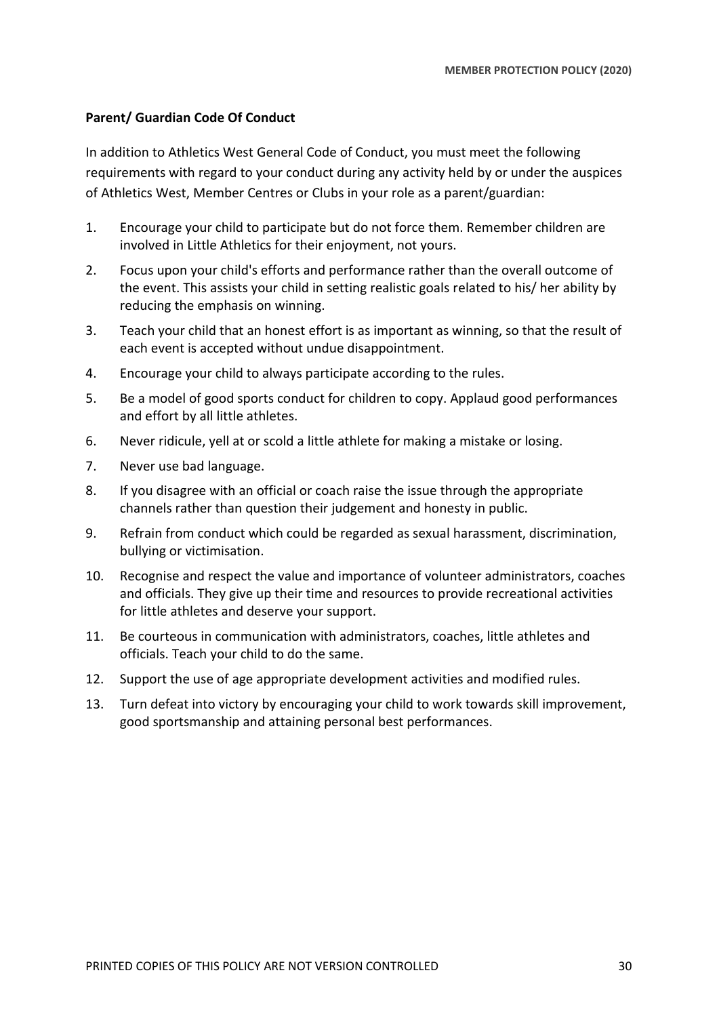## **Parent/ Guardian Code Of Conduct**

In addition to Athletics West General Code of Conduct, you must meet the following requirements with regard to your conduct during any activity held by or under the auspices of Athletics West, Member Centres or Clubs in your role as a parent/guardian:

- 1. Encourage your child to participate but do not force them. Remember children are involved in Little Athletics for their enjoyment, not yours.
- 2. Focus upon your child's efforts and performance rather than the overall outcome of the event. This assists your child in setting realistic goals related to his/ her ability by reducing the emphasis on winning.
- 3. Teach your child that an honest effort is as important as winning, so that the result of each event is accepted without undue disappointment.
- 4. Encourage your child to always participate according to the rules.
- 5. Be a model of good sports conduct for children to copy. Applaud good performances and effort by all little athletes.
- 6. Never ridicule, yell at or scold a little athlete for making a mistake or losing.
- 7. Never use bad language.
- 8. If you disagree with an official or coach raise the issue through the appropriate channels rather than question their judgement and honesty in public.
- 9. Refrain from conduct which could be regarded as sexual harassment, discrimination, bullying or victimisation.
- 10. Recognise and respect the value and importance of volunteer administrators, coaches and officials. They give up their time and resources to provide recreational activities for little athletes and deserve your support.
- 11. Be courteous in communication with administrators, coaches, little athletes and officials. Teach your child to do the same.
- 12. Support the use of age appropriate development activities and modified rules.
- 13. Turn defeat into victory by encouraging your child to work towards skill improvement, good sportsmanship and attaining personal best performances.